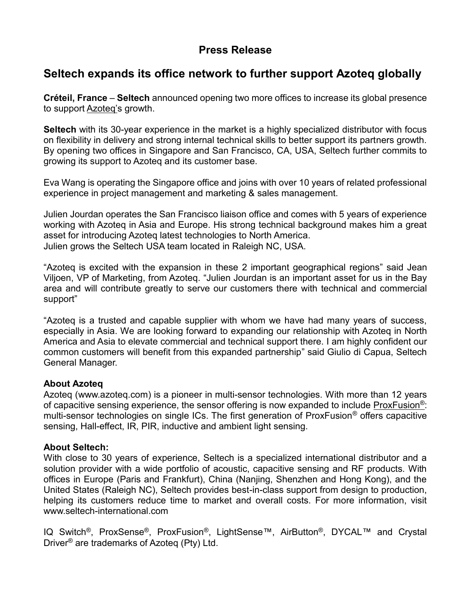## **Press Release**

# **Seltech expands its office network to further support Azoteq globally**

**Créteil, France** – **Seltech** announced opening two more offices to increase its global presence to suppor[t Azoteq'](http://www.azoteq.com/)s growth.

**Seltech** with its 30-year experience in the market is a highly specialized distributor with focus on flexibility in delivery and strong internal technical skills to better support its partners growth. By opening two offices in Singapore and San Francisco, CA, USA, Seltech further commits to growing its support to Azoteq and its customer base.

Eva Wang is operating the Singapore office and joins with over 10 years of related professional experience in project management and marketing & sales management.

Julien Jourdan operates the San Francisco liaison office and comes with 5 years of experience working with Azoteq in Asia and Europe. His strong technical background makes him a great asset for introducing Azoteq latest technologies to North America. Julien grows the Seltech USA team located in Raleigh NC, USA.

"Azoteq is excited with the expansion in these 2 important geographical regions" said Jean Viljoen, VP of Marketing, from Azoteq. "Julien Jourdan is an important asset for us in the Bay area and will contribute greatly to serve our customers there with technical and commercial support"

"Azoteq is a trusted and capable supplier with whom we have had many years of success, especially in Asia. We are looking forward to expanding our relationship with Azoteq in North America and Asia to elevate commercial and technical support there. I am highly confident our common customers will benefit from this expanded partnership" said Giulio di Capua, Seltech General Manager.

#### **About Azoteq**

Azoteq [\(www.azoteq.com\)](http://www.azoteq.com/) is a pioneer in multi-sensor technologies. With more than 12 years of capacitive sensing experience, the sensor offering is now expanded to include [ProxFusion](https://www.youtube.com/watch?v=l7tO2ra5y74)®: multi-sensor technologies on single ICs. The first generation of ProxFusion® offers capacitive sensing, Hall-effect, IR, PIR, inductive and ambient light sensing.

#### **About Seltech:**

With close to 30 years of experience, Seltech is a specialized international distributor and a solution provider with a wide portfolio of acoustic, capacitive sensing and RF products. With offices in Europe (Paris and Frankfurt), China (Nanjing, Shenzhen and Hong Kong), and the United States (Raleigh NC), Seltech provides best-in-class support from design to production, helping its customers reduce time to market and overall costs. For more information, visit [www.seltech-international.com](http://www.seltech-international.com/)

IQ Switch®, ProxSense®, ProxFusion®, LightSense™, AirButton®, DYCAL™ and Crystal Driver® are trademarks of Azoteq (Pty) Ltd.